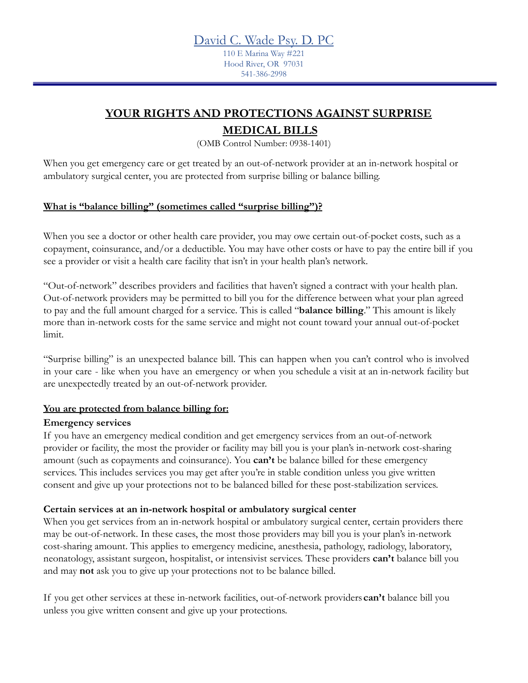110 E Marina Way #221 Hood River, OR 97031 541-386-2998

# **YOUR RIGHTS AND PROTECTIONS AGAINST SURPRISE**

## **MEDICAL BILLS**

(OMB Control Number: 0938-1401)

When you get emergency care or get treated by an out-of-network provider at an in-network hospital or ambulatory surgical center, you are protected from surprise billing or balance billing.

### **What is "balance billing" (sometimes called "surprise billing")?**

When you see a doctor or other health care provider, you may owe certain out-of-pocket costs, such as a copayment, coinsurance, and/or a deductible. You may have other costs or have to pay the entire bill if you see a provider or visit a health care facility that isn't in your health plan's network.

"Out-of-network" describes providers and facilities that haven't signed a contract with your health plan. Out-of-network providers may be permitted to bill you for the difference between what your plan agreed to pay and the full amount charged for a service. This is called "**balance billing**." This amount is likely more than in-network costs for the same service and might not count toward your annual out-of-pocket limit.

"Surprise billing" is an unexpected balance bill. This can happen when you can't control who is involved in your care - like when you have an emergency or when you schedule a visit at an in-network facility but are unexpectedly treated by an out-of-network provider.

## **You are protected from balance billing for:**

#### **Emergency services**

If you have an emergency medical condition and get emergency services from an out-of-network provider or facility, the most the provider or facility may bill you is your plan's in-network cost-sharing amount (such as copayments and coinsurance). You **can't** be balance billed for these emergency services. This includes services you may get after you're in stable condition unless you give written consent and give up your protections not to be balanced billed for these post-stabilization services.

#### **Certain services at an in-network hospital or ambulatory surgical center**

When you get services from an in-network hospital or ambulatory surgical center, certain providers there may be out-of-network. In these cases, the most those providers may bill you is your plan's in-network cost-sharing amount. This applies to emergency medicine, anesthesia, pathology, radiology, laboratory, neonatology, assistant surgeon, hospitalist, or intensivist services. These providers **can't** balance bill you and may **not** ask you to give up your protections not to be balance billed.

If you get other services at these in-network facilities, out-of-network providers **can't** balance bill you unless you give written consent and give up your protections.